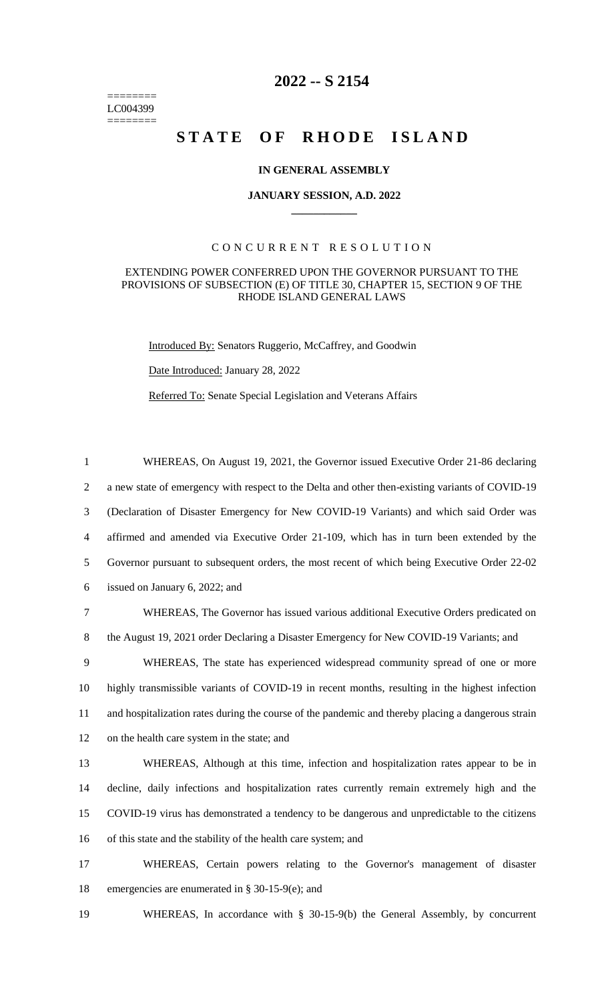======== LC004399 ========

# **2022 -- S 2154**

# STATE OF RHODE ISLAND

## **IN GENERAL ASSEMBLY**

#### **JANUARY SESSION, A.D. 2022 \_\_\_\_\_\_\_\_\_\_\_\_**

# CONCURRENT RESOLUTION

## EXTENDING POWER CONFERRED UPON THE GOVERNOR PURSUANT TO THE PROVISIONS OF SUBSECTION (E) OF TITLE 30, CHAPTER 15, SECTION 9 OF THE RHODE ISLAND GENERAL LAWS

Introduced By: Senators Ruggerio, McCaffrey, and Goodwin

Date Introduced: January 28, 2022

Referred To: Senate Special Legislation and Veterans Affairs

 WHEREAS, On August 19, 2021, the Governor issued Executive Order 21-86 declaring a new state of emergency with respect to the Delta and other then-existing variants of COVID-19 (Declaration of Disaster Emergency for New COVID-19 Variants) and which said Order was affirmed and amended via Executive Order 21-109, which has in turn been extended by the Governor pursuant to subsequent orders, the most recent of which being Executive Order 22-02 issued on January 6, 2022; and WHEREAS, The Governor has issued various additional Executive Orders predicated on the August 19, 2021 order Declaring a Disaster Emergency for New COVID-19 Variants; and WHEREAS, The state has experienced widespread community spread of one or more highly transmissible variants of COVID-19 in recent months, resulting in the highest infection and hospitalization rates during the course of the pandemic and thereby placing a dangerous strain on the health care system in the state; and WHEREAS, Although at this time, infection and hospitalization rates appear to be in decline, daily infections and hospitalization rates currently remain extremely high and the COVID-19 virus has demonstrated a tendency to be dangerous and unpredictable to the citizens of this state and the stability of the health care system; and WHEREAS, Certain powers relating to the Governor's management of disaster

- 18 emergencies are enumerated in § 30-15-9(e); and
- 19 WHEREAS, In accordance with § 30-15-9(b) the General Assembly, by concurrent